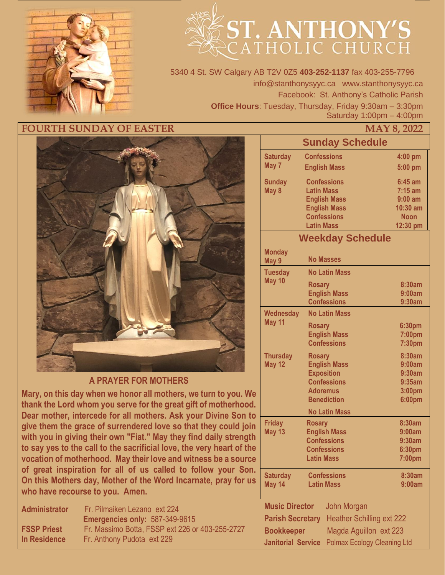

# **ST. ANTHONY'S**

5340 4 St. SW Calgary AB T2V 0Z5 **403-252-1137** fax 403-255-7796 info@stanthonysyyc.ca www.stanthonysyyc.ca Facebook: St. Anthony's Catholic Parish **Office Hours**: Tuesday, Thursday, Friday 9:30am – 3:30pm Saturday 1:00pm – 4:00pm

#### **FOURTH SUNDAY OF EASTER**



#### **A PRAYER FOR MOTHERS**

**Mary, on this day when we honor all mothers, we turn to you. We thank the Lord whom you serve for the great gift of motherhood. Dear mother, intercede for all mothers. Ask your Divine Son to give them the grace of surrendered love so that they could join with you in giving their own "Fiat." May they find daily strength to say yes to the call to the sacrificial love, the very heart of the vocation of motherhood. May their love and witness be a source of great inspiration for all of us called to follow your Son. On this Mothers day, Mother of the Word Incarnate, pray for us who have recourse to you. Amen.**

| <b>Administrator</b> | Fr. Pilmaiken Lezano ext 224                    |
|----------------------|-------------------------------------------------|
|                      | Emergencies only: 587-349-9615                  |
| <b>FSSP Priest</b>   | Fr. Massimo Botta, FSSP ext 226 or 403-255-2727 |
| In Residence         | Fr. Anthony Pudota ext 229                      |

|                                                                 |                                       | MAY 8, 2022      |  |  |  |  |  |
|-----------------------------------------------------------------|---------------------------------------|------------------|--|--|--|--|--|
|                                                                 | <b>Sunday Schedule</b>                |                  |  |  |  |  |  |
| <b>Saturday</b>                                                 | <b>Confessions</b>                    | 4:00 pm          |  |  |  |  |  |
| May 7                                                           | <b>English Mass</b>                   | $5:00$ pm        |  |  |  |  |  |
| <b>Sunday</b>                                                   | <b>Confessions</b>                    | $6:45$ am        |  |  |  |  |  |
| May 8                                                           | <b>Latin Mass</b>                     | $7:15$ am        |  |  |  |  |  |
|                                                                 | <b>English Mass</b>                   | $9:00$ am        |  |  |  |  |  |
|                                                                 | <b>English Mass</b>                   | 10:30 am         |  |  |  |  |  |
|                                                                 | <b>Confessions</b>                    | <b>Noon</b>      |  |  |  |  |  |
|                                                                 | <b>Latin Mass</b>                     | 12:30 pm         |  |  |  |  |  |
| <b>Weekday Schedule</b>                                         |                                       |                  |  |  |  |  |  |
| <b>Monday</b><br>May 9                                          | <b>No Masses</b>                      |                  |  |  |  |  |  |
| <b>Tuesday</b>                                                  | <b>No Latin Mass</b>                  |                  |  |  |  |  |  |
| May 10                                                          | <b>Rosary</b>                         | 8:30am           |  |  |  |  |  |
|                                                                 | <b>English Mass</b>                   | 9:00am           |  |  |  |  |  |
|                                                                 | <b>Confessions</b>                    | 9:30am           |  |  |  |  |  |
| Wednesday                                                       | <b>No Latin Mass</b>                  |                  |  |  |  |  |  |
| May 11                                                          | <b>Rosary</b>                         | 6:30pm           |  |  |  |  |  |
|                                                                 | <b>English Mass</b>                   | 7:00pm           |  |  |  |  |  |
|                                                                 | <b>Confessions</b>                    | 7:30pm           |  |  |  |  |  |
| <b>Thursday</b>                                                 | Rosary                                | 8:30am           |  |  |  |  |  |
| <b>May 12</b>                                                   | <b>English Mass</b>                   | 9:00am           |  |  |  |  |  |
|                                                                 | <b>Exposition</b>                     | 9:30am           |  |  |  |  |  |
|                                                                 | <b>Confessions</b>                    | 9:35am           |  |  |  |  |  |
|                                                                 | <b>Adoremus</b><br><b>Benediction</b> | 3:00pm<br>6:00pm |  |  |  |  |  |
|                                                                 |                                       |                  |  |  |  |  |  |
|                                                                 | <b>No Latin Mass</b>                  |                  |  |  |  |  |  |
| <b>Friday</b>                                                   | <b>Rosary</b>                         | 8:30am           |  |  |  |  |  |
| <b>May 13</b>                                                   | <b>English Mass</b>                   | 9:00am           |  |  |  |  |  |
|                                                                 | <b>Confessions</b>                    | 9:30am           |  |  |  |  |  |
|                                                                 | <b>Confessions</b>                    | 6:30pm           |  |  |  |  |  |
|                                                                 | <b>Latin Mass</b>                     | 7:00pm           |  |  |  |  |  |
| <b>Saturday</b>                                                 | <b>Confessions</b>                    | 8:30am           |  |  |  |  |  |
| May 14                                                          | 9:00am                                |                  |  |  |  |  |  |
|                                                                 |                                       |                  |  |  |  |  |  |
| <b>Music Director</b>                                           | John Morgan                           |                  |  |  |  |  |  |
| <b>Parish Secretary</b>                                         | <b>Heather Schilling ext 222</b>      |                  |  |  |  |  |  |
| <b>Bookkeeper</b>                                               | Magda Aguillon ext 223                |                  |  |  |  |  |  |
| <b>Janitorial Service</b><br><b>Polmax Ecology Cleaning Ltd</b> |                                       |                  |  |  |  |  |  |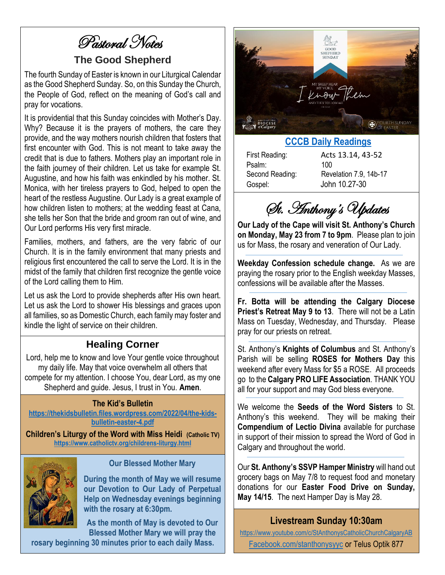Pastoral Notes

#### **The Good Shepherd**

The fourth Sunday of Easter is known in our Liturgical Calendar as the Good Shepherd Sunday. So, on this Sunday the Church, the People of God, reflect on the meaning of God's call and pray for vocations.

It is providential that this Sunday coincides with Mother's Day. Why? Because it is the prayers of mothers, the care they provide, and the way mothers nourish children that fosters that first encounter with God. This is not meant to take away the credit that is due to fathers. Mothers play an important role in the faith journey of their children. Let us take for example St. Augustine, and how his faith was enkindled by his mother. St. Monica, with her tireless prayers to God, helped to open the heart of the restless Augustine. Our Lady is a great example of how children listen to mothers; at the wedding feast at Cana, she tells her Son that the bride and groom ran out of wine, and Our Lord performs His very first miracle.

Families, mothers, and fathers, are the very fabric of our Church. It is in the family environment that many priests and religious first encountered the call to serve the Lord. It is in the midst of the family that children first recognize the gentle voice of the Lord calling them to Him.

Let us ask the Lord to provide shepherds after His own heart. Let us ask the Lord to shower His blessings and graces upon all families, so as Domestic Church, each family may foster and kindle the light of service on their children.

## **Healing Corner**

Lord, help me to know and love Your gentle voice throughout my daily life. May that voice overwhelm all others that compete for my attention. I choose You, dear Lord, as my one Shepherd and guide. Jesus, I trust in You. **Amen**.

#### **The Kid's Bulletin**

**[https://thekidsbulletin.files.wordpress.com/2022/04/the-kids](https://thekidsbulletin.files.wordpress.com/2022/04/the-kids-bulletin-easter-4.pdf)[bulletin-easter-4.pdf](https://thekidsbulletin.files.wordpress.com/2022/04/the-kids-bulletin-easter-4.pdf)**

**Children's Liturgy of the Word with Miss Heidi (Catholic TV) <https://www.catholictv.org/childrens-liturgy.html>**



#### **Our Blessed Mother Mary**

**During the month of May we will resume our Devotion to Our Lady of Perpetual Help on Wednesday evenings beginning with the rosary at 6:30pm.**

**As the month of May is devoted to Our Blessed Mother Mary we will pray the** 

**rosary beginning 30 minutes prior to each daily Mass.**



#### **[CCCB Daily Readings](http://ec2-34-245-7-114.eu-west-1.compute.amazonaws.com/daily-texts/reading/2022-05-08)**

Psalm: 100 Gospel: John 10.27-30

First Reading: Acts 13.14, 43-52 Second Reading: Revelation 7.9, 14b-17

St. Anthony's Updates

**Our Lady of the Cape will visit St. Anthony's Church on Monday, May 23 from 7 to 9pm**. Please plan to join us for Mass, the rosary and veneration of Our Lady.

**Weekday Confession schedule change.** As we are praying the rosary prior to the English weekday Masses, confessions will be available after the Masses.

**Fr. Botta will be attending the Calgary Diocese Priest's Retreat May 9 to 13**. There will not be a Latin Mass on Tuesday, Wednesday, and Thursday. Please pray for our priests on retreat.

St. Anthony's **Knights of Columbus** and St. Anthony's Parish will be selling **ROSES for Mothers Day** this weekend after every Mass for \$5 a ROSE. All proceeds go to the **Calgary PRO LIFE Association**. THANK YOU all for your support and may God bless everyone.

We welcome the **Seeds of the Word Sisters** to St. Anthony's this weekend. They will be making their **Compendium of Lectio Divina** available for purchase in support of their mission to spread the Word of God in Calgary and throughout the world.

Our **St. Anthony's SSVP Hamper Ministry** will hand out grocery bags on May 7/8 to request food and monetary donations for our **Easter Food Drive on Sunday, May 14/15**. The next Hamper Day is May 28.

## **Livestream Sunday 10:30am**

<https://www.youtube.com/c/StAnthonysCatholicChurchCalgaryAB>

[Facebook.com/stanthonysyyc](https://www.facebook.com/stanthonysyyc/) or Telus Optik 877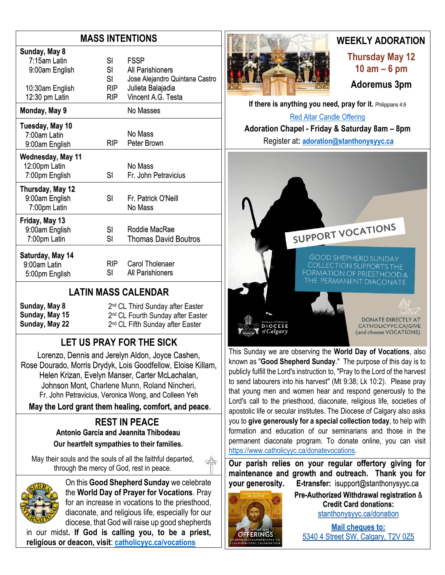## **MASS INTENTIONS**

| Sunday, May 8                                                       |                                     |                                                                                                              |
|---------------------------------------------------------------------|-------------------------------------|--------------------------------------------------------------------------------------------------------------|
| 7:15am Latin<br>9:00am English<br>10:30am English<br>12:30 pm Latin | SI<br>SI<br>SI<br>RIP<br><b>RIP</b> | <b>FSSP</b><br>All Parishioners<br>Jose Alejandro Quintana Castro<br>Julieta Balajadia<br>Vincent A.G. Testa |
| Monday, May 9                                                       |                                     | No Masses                                                                                                    |
| Tuesday, May 10<br>7:00am Latin<br>9:00am English                   | <b>RIP</b>                          | No Mass<br>Peter Brown                                                                                       |
| Wednesday, May 11<br>12:00pm Latin<br>7:00pm English                | SI                                  | No Mass<br>Fr. John Petravicius                                                                              |
| Thursday, May 12<br>9:00am English<br>7:00pm Latin                  | SI                                  | Fr Patrick O'Neill<br>No Mass                                                                                |
| Friday, May 13<br>9:00am English<br>7:00pm Latin                    | SI<br>SI                            | Roddie MacRae<br><b>Thomas David Boutros</b>                                                                 |
| Saturday, May 14<br>9:00am Latin<br>5:00pm English                  | RIP -<br>SI                         | Carol Tholenaer<br><b>All Parishioners</b>                                                                   |

#### **LATIN MASS CALENDAR**

**Sunday, May 8 Sunday, May 15 Sunday, May 22** 2<sup>nd</sup> CL Third Sunday after Easter 2<sup>nd</sup> CL Fourth Sunday after Easter 2<sup>nd</sup> CL Fifth Sunday after Easter

# **LET US PRAY FOR THE SICK**

Lorenzo, Dennis and Jerelyn Aldon, Joyce Cashen, Rose Dourado, Morris Drydyk, Lois Goodfellow, Eloise Killam, Helen Krizan, Evelyn Manser, Carter McLachalan, Johnson Mont, Charlene Munn, Roland Nincheri, Fr. John Petravicius, Veronica Wong, and Colleen Yeh

**May the Lord grant them healing, comfort, and peace**.

#### **REST IN PEACE Antonio Garcia and Jeannita Thibodeau Our heartfelt sympathies to their families.**

May their souls and the souls of all the faithful departed, through the mercy of God, rest in peace.



On this **Good Shepherd Sunday** we celebrate the **World Day of Prayer for Vocations**. Pray for an increase in vocations to the priesthood, diaconate, and religious life, especially for our diocese, that God will raise up good shepherds

in our midst**. If God is calling you, to be a priest, religious or deacon, visit**: **[catholicyyc.ca/vocations](http://www.catholicyyc.ca/vocations)**



## **WEEKLY ADORATION**

**Thursday May 12 10 am – 6 pm Adoremus 3pm**

**If there is anything you need, pray for it. Philippians 4:6** 

[Red Altar Candle Offering](https://stanthonysyyc.ca/wp-content/uploads/2020/10/RED-ALTAR-CANDLE-OFFERING.pdf)

**Adoration Chapel - Friday & Saturday 8am – 8pm**  Register at**: [adoration@stanthonysyyc.ca](mailto:adoration@stanthonysyyc.ca)**



This Sunday we are observing the **World Day of Vocations**, also known as "**Good Shepherd Sunday**." The purpose of this day is to publicly fulfill the Lord's instruction to, "Pray to the Lord of the harvest to send labourers into his harvest" (Mt 9:38; Lk 10:2). Please pray that young men and women hear and respond generously to the Lord's call to the priesthood, diaconate, religious life, societies of apostolic life or secular institutes. The Diocese of Calgary also asks you to **give generously for a special collection today**, to help with formation and education of our seminarians and those in the permanent diaconate program. To donate online, you can visit [https://www.catholicyyc.ca/donatevocations.](https://www.catholicyyc.ca/donatevocations)

**Our parish relies on your regular offertory giving for maintenance and growth and outreach. Thank you for your generosity. E-transfer:** isupport@stanthonysyyc.ca



**Pre-Authorized Withdrawal registration** & **Credit Card donations:** [stanthonysyyc.ca/donation](https://stanthonysyyc.ca/donation/)

**Mail cheques to:** 5340 4 Street SW, Calgary, T2V 0Z5